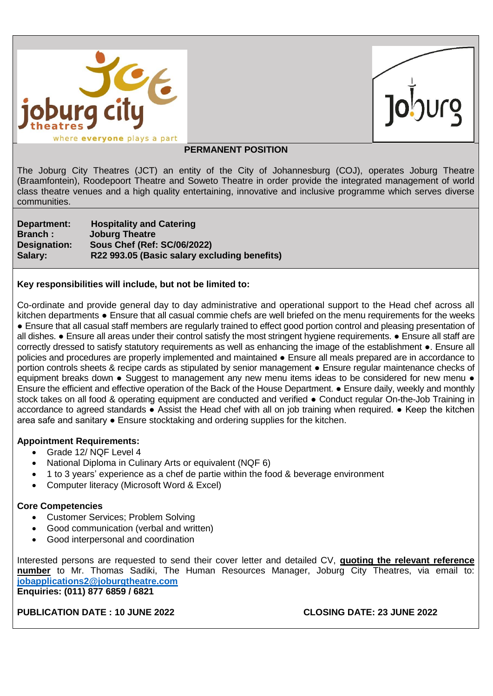

### *PERMANENT POSITION*

The Joburg City Theatres (JCT) an entity of the City of Johannesburg (COJ), operates Joburg Theatre (Braamfontein), Roodepoort Theatre and Soweto Theatre in order provide the integrated management of world class theatre venues and a high quality entertaining, innovative and inclusive programme which serves diverse communities.

**Department: Hospitality and Catering Branch : Joburg Theatre Designation: Sous Chef (Ref: SC/06/2022) Salary: R22 993.05 (Basic salary excluding benefits)**

### **Key responsibilities will include, but not be limited to:**

Co-ordinate and provide general day to day administrative and operational support to the Head chef across all kitchen departments • Ensure that all casual commie chefs are well briefed on the menu requirements for the weeks ● Ensure that all casual staff members are regularly trained to effect good portion control and pleasing presentation of all dishes. ● Ensure all areas under their control satisfy the most stringent hygiene requirements. ● Ensure all staff are correctly dressed to satisfy statutory requirements as well as enhancing the image of the establishment ●. Ensure all policies and procedures are properly implemented and maintained • Ensure all meals prepared are in accordance to portion controls sheets & recipe cards as stipulated by senior management ● Ensure regular maintenance checks of equipment breaks down • Suggest to management any new menu items ideas to be considered for new menu • Ensure the efficient and effective operation of the Back of the House Department. ● Ensure daily, weekly and monthly stock takes on all food & operating equipment are conducted and verified ● Conduct regular On-the-Job Training in accordance to agreed standards ● Assist the Head chef with all on job training when required. ● Keep the kitchen area safe and sanitary ● Ensure stocktaking and ordering supplies for the kitchen.

# **Appointment Requirements:**

- Grade 12/ NQF Level 4
- National Diploma in Culinary Arts or equivalent (NQF 6)
- 1 to 3 years' experience as a chef de partie within the food & beverage environment
- Computer literacy (Microsoft Word & Excel)

# **Core Competencies**

- Customer Services; Problem Solving
- Good communication (verbal and written)
- Good interpersonal and coordination

Interested persons are requested to send their cover letter and detailed CV, **quoting the relevant reference number** to Mr. Thomas Sadiki, The Human Resources Manager, Joburg City Theatres, via email to: **[jobapplications2@joburgtheatre.com](mailto:jobapplications2@joburgtheatre.com) Enquiries: (011) 877 6859 / 6821** 

# **PUBLICATION DATE : 10 JUNE 2022 CLOSING DATE: 23 JUNE 2022**